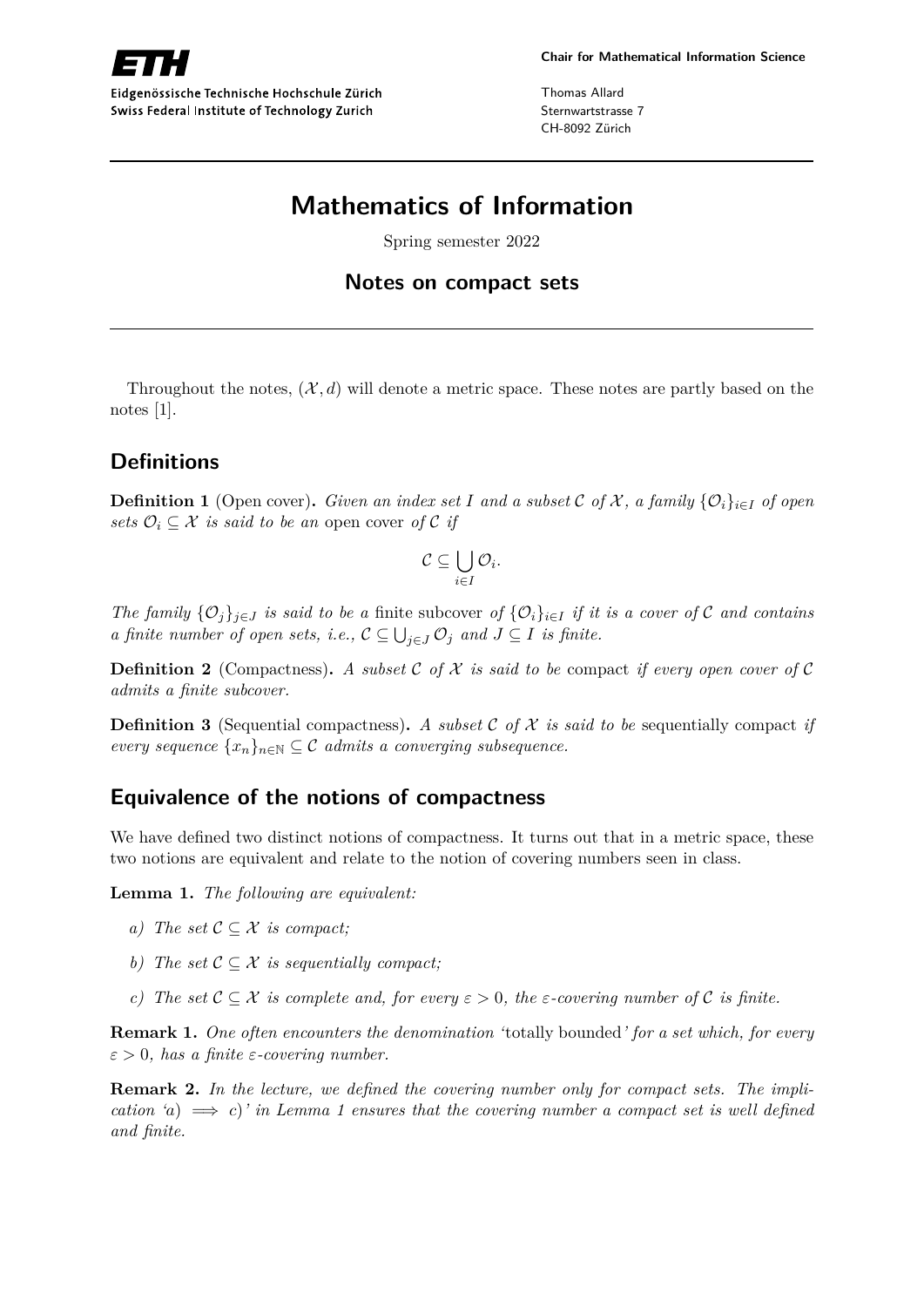

Eidgenössische Technische Hochschule Zürich Swiss Federal Institute of Technology Zurich

Thomas Allard Sternwartstrasse 7 CH-8092 Zürich

# **Mathematics of Information**

Spring semester 2022

#### **Notes on compact sets**

Throughout the notes,  $(\mathcal{X}, d)$  will denote a metric space. These notes are partly based on the notes [1].

## **Definitions**

**Definition 1** (Open cover). Given an index set *I* and a subset C of X, a family  $\{O_i\}_{i \in I}$  of open *sets*  $\mathcal{O}_i \subseteq \mathcal{X}$  *is said to be an open cover of* C *if* 

$$
\mathcal{C} \subseteq \bigcup_{i \in I} \mathcal{O}_i.
$$

*The family*  $\{O_j\}_{j\in J}$  *is said to be a* finite subcover *of*  $\{O_i\}_{i\in I}$  *if it is a cover of* C *and contains a finite number of open sets, i.e.,*  $C \subseteq \bigcup_{j \in J} \mathcal{O}_j$  *and*  $J \subseteq I$  *is finite.* 

**Definition 2** (Compactness). A subset C of X is said to be compact if every open cover of C *admits a finite subcover.*

**Definition 3** (Sequential compactness). A subset C of X is said to be sequentially compact if *every sequence*  $\{x_n\}_{n\in\mathbb{N}} \subseteq \mathcal{C}$  *admits a converging subsequence.* 

### **Equivalence of the notions of compactness**

We have defined two distinct notions of compactness. It turns out that in a metric space, these two notions are equivalent and relate to the notion of covering numbers seen in class.

**Lemma 1.** *The following are equivalent:*

- *a) The set*  $C \subset \mathcal{X}$  *is compact:*
- *b) The set*  $C \subset \mathcal{X}$  *is sequentially compact:*
- *c)* The set  $\mathcal{C} \subset \mathcal{X}$  is complete and, for every  $\varepsilon > 0$ , the  $\varepsilon$ -covering number of  $\mathcal{C}$  is finite.

**Remark 1.** *One often encounters the denomination '*totally bounded*' for a set which, for every ε >* 0*, has a finite ε-covering number.*

**Remark 2.** *In the lecture, we defined the covering number only for compact sets. The implication 'a*)  $\implies$  *c*)' *in Lemma 1 ensures that the covering number a compact set is well defined and finite.*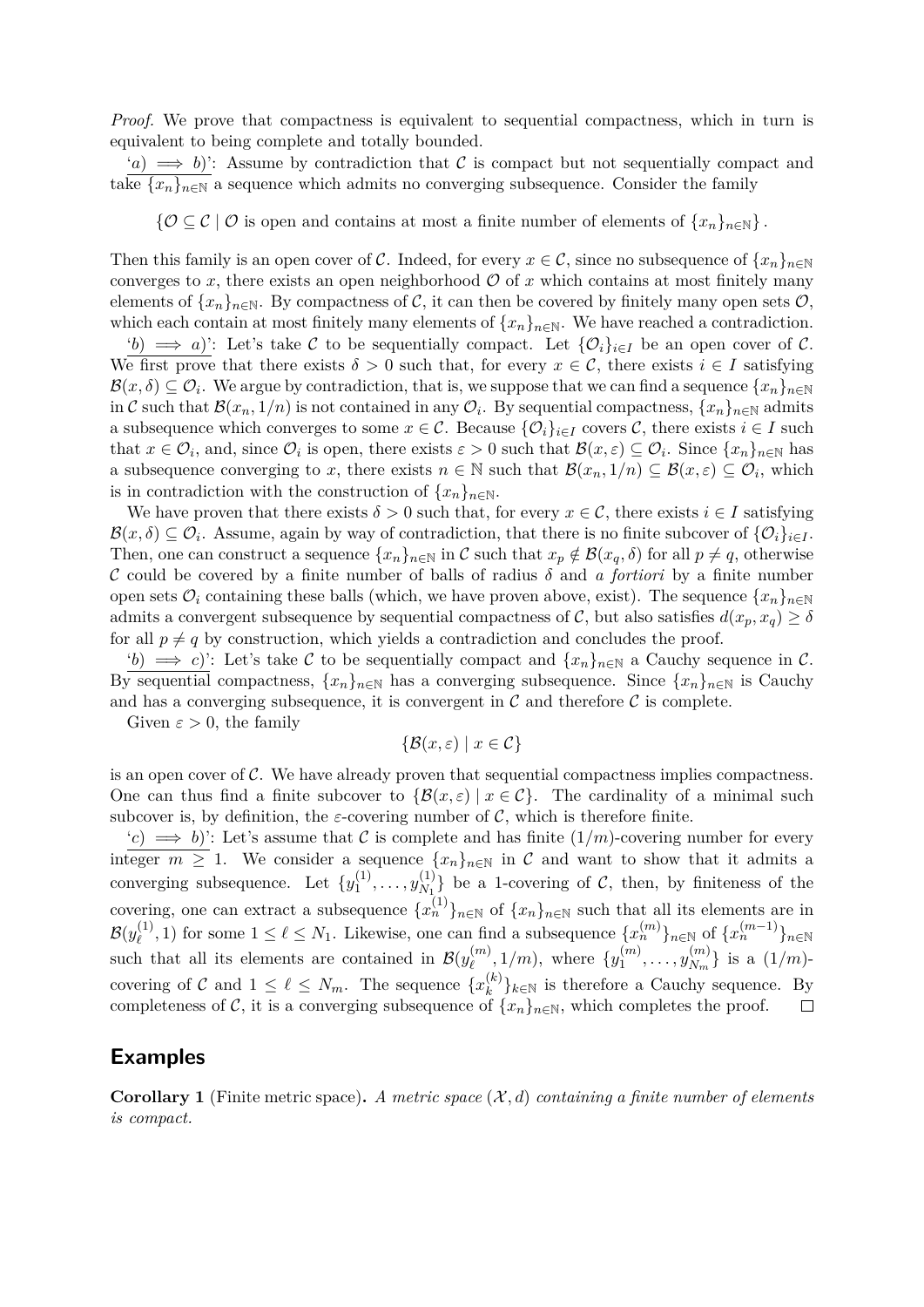*Proof.* We prove that compactness is equivalent to sequential compactness, which in turn is equivalent to being complete and totally bounded.

 $(a) \implies b$ ): Assume by contradiction that C is compact but not sequentially compact and take  ${x_n}_{n\in\mathbb{N}}$  a sequence which admits no converging subsequence. Consider the family

 $\{O \subseteq C \mid O \text{ is open and contains at most a finite number of elements of  $\{x_n\}_{n\in\mathbb{N}}\}\$ .$ 

Then this family is an open cover of C. Indeed, for every  $x \in C$ , since no subsequence of  $\{x_n\}_{n\in\mathbb{N}}$ converges to x, there exists an open neighborhood  $\mathcal O$  of x which contains at most finitely many elements of  $\{x_n\}_{n\in\mathbb{N}}$ . By compactness of C, it can then be covered by finitely many open sets  $\mathcal{O}$ , which each contain at most finitely many elements of  $\{x_n\}_{n\in\mathbb{N}}$ . We have reached a contradiction.

'*b*)  $\implies$  *a*)': Let's take C to be sequentially compact. Let  $\{O_i\}_{i\in I}$  be an open cover of C. We first prove that there exists  $\delta > 0$  such that, for every  $x \in \mathcal{C}$ , there exists  $i \in I$  satisfying  $\mathcal{B}(x,\delta) \subseteq \mathcal{O}_i$ . We argue by contradiction, that is, we suppose that we can find a sequence  $\{x_n\}_{n\in\mathbb{N}}$ in C such that  $\mathcal{B}(x_n, 1/n)$  is not contained in any  $\mathcal{O}_i$ . By sequential compactness,  $\{x_n\}_{n\in\mathbb{N}}$  admits a subsequence which converges to some  $x \in \mathcal{C}$ . Because  $\{\mathcal{O}_i\}_{i \in I}$  covers  $\mathcal{C}$ , there exists  $i \in I$  such that  $x \in \mathcal{O}_i$ , and, since  $\mathcal{O}_i$  is open, there exists  $\varepsilon > 0$  such that  $\mathcal{B}(x,\varepsilon) \subseteq \mathcal{O}_i$ . Since  $\{x_n\}_{n\in\mathbb{N}}$  has a subsequence converging to *x*, there exists  $n \in \mathbb{N}$  such that  $\mathcal{B}(x_n, 1/n) \subseteq \mathcal{B}(x, \varepsilon) \subseteq \mathcal{O}_i$ , which is in contradiction with the construction of  $\{x_n\}_{n\in\mathbb{N}}$ .

We have proven that there exists  $\delta > 0$  such that, for every  $x \in \mathcal{C}$ , there exists  $i \in I$  satisfying  $\mathcal{B}(x,\delta) \subseteq \mathcal{O}_i$ . Assume, again by way of contradiction, that there is no finite subcover of  $\{\mathcal{O}_i\}_{i\in I}$ . Then, one can construct a sequence  $\{x_n\}_{n\in\mathbb{N}}$  in C such that  $x_p \notin \mathcal{B}(x_q, \delta)$  for all  $p \neq q$ , otherwise C could be covered by a finite number of balls of radius *δ* and *a fortiori* by a finite number open sets  $\mathcal{O}_i$  containing these balls (which, we have proven above, exist). The sequence  $\{x_n\}_{n\in\mathbb{N}}$ admits a convergent subsequence by sequential compactness of C, but also satisfies  $d(x_p, x_q) \ge \delta$ for all  $p \neq q$  by construction, which yields a contradiction and concludes the proof.

'*b*)  $\implies$  *c*)': Let's take C to be sequentially compact and  $\{x_n\}_{n\in\mathbb{N}}$  a Cauchy sequence in C. By sequential compactness,  $\{x_n\}_{n\in\mathbb{N}}$  has a converging subsequence. Since  $\{x_n\}_{n\in\mathbb{N}}$  is Cauchy and has a converging subsequence, it is convergent in  $\mathcal C$  and therefore  $\mathcal C$  is complete.

Given  $\varepsilon > 0$ , the family

$$
\{\mathcal{B}(x,\varepsilon) \mid x \in \mathcal{C}\}
$$

is an open cover of  $\mathcal{C}$ . We have already proven that sequential compactness implies compactness. One can thus find a finite subcover to  $\{\mathcal{B}(x,\varepsilon) \mid x \in \mathcal{C}\}\$ . The cardinality of a minimal such subcover is, by definition, the *ε*-covering number of  $\mathcal{C}$ , which is therefore finite.

 $(c) \implies b$ ): Let's assume that C is complete and has finite  $(1/m)$ -covering number for every integer  $m \geq 1$ . We consider a sequence  $\{x_n\}_{n\in\mathbb{N}}$  in C and want to show that it admits a converging subsequence. Let  $\{y_1^{(1)}\}$  $y_1^{(1)},\ldots,y_{N_1}^{(1)}$  $\begin{bmatrix} \n\langle 1 \rangle \\ \nN_1 \n\end{bmatrix}$  be a 1-covering of C, then, by finiteness of the covering, one can extract a subsequence  ${x_n^{(1)}}_{n \in \mathbb{N}}$  of  ${x_n}_{n \in \mathbb{N}}$  such that all its elements are in  $\mathcal{B}(y_\ell^{(1)}$  $\ell$ <sup>(1)</sup>, 1) for some 1 ≤  $\ell$  ≤ *N*<sub>1</sub>. Likewise, one can find a subsequence  $\{x_n^{(m)}\}_{n \in \mathbb{N}}$  of  $\{x_n^{(m-1)}\}_{n \in \mathbb{N}}$ such that all its elements are contained in  $\mathcal{B}(y_{\ell}^{(m)})$  $y_{\ell}^{(m)}$ , 1/*m*), where  $\{y_1^{(m)}\}$  $y_1^{(m)},\ldots,y_{N_m}^{(m)}$  $\{N_m^{(m)}\}$  is a  $(1/m)$ covering of C and  $1 \leq \ell \leq N_m$ . The sequence  $\{x_k^{(k)}\}$  ${k \choose k}$ <sub>k∈N</sub> is therefore a Cauchy sequence. By completeness of C, it is a converging subsequence of  $\{x_n\}_{n\in\mathbb{N}}$ , which completes the proof.  $\Box$ 

### **Examples**

**Corollary 1** (Finite metric space)**.** *A metric space* (X *, d*) *containing a finite number of elements is compact.*